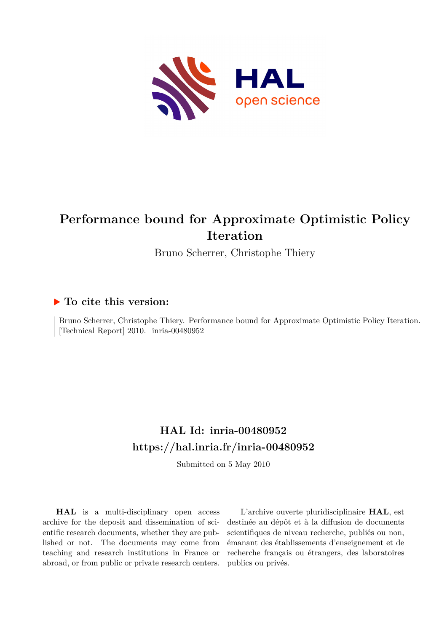

# **Performance bound for Approximate Optimistic Policy Iteration**

Bruno Scherrer, Christophe Thiery

### **To cite this version:**

Bruno Scherrer, Christophe Thiery. Performance bound for Approximate Optimistic Policy Iteration. [Technical Report] 2010. inria-00480952

## **HAL Id: inria-00480952 <https://hal.inria.fr/inria-00480952>**

Submitted on 5 May 2010

**HAL** is a multi-disciplinary open access archive for the deposit and dissemination of scientific research documents, whether they are published or not. The documents may come from teaching and research institutions in France or abroad, or from public or private research centers.

L'archive ouverte pluridisciplinaire **HAL**, est destinée au dépôt et à la diffusion de documents scientifiques de niveau recherche, publiés ou non, émanant des établissements d'enseignement et de recherche français ou étrangers, des laboratoires publics ou privés.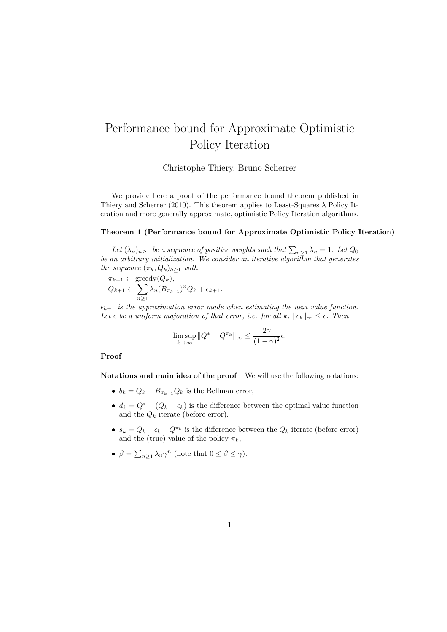## Performance bound for Approximate Optimistic Policy Iteration

Christophe Thiery, Bruno Scherrer

We provide here a proof of the performance bound theorem published in Thiery and Scherrer (2010). This theorem applies to Least-Squares  $\lambda$  Policy Iteration and more generally approximate, optimistic Policy Iteration algorithms.

#### Theorem 1 (Performance bound for Approximate Optimistic Policy Iteration)

Let  $(\lambda_n)_{n\geq 1}$  be a sequence of positive weights such that  $\sum_{n\geq 1} \lambda_n = 1$ . Let  $Q_0$ *be an arbitrary initialization. We consider an iterative algorithm that generates the sequence*  $(\pi_k, Q_k)_{k\geq 1}$  *with* 

 $\pi_{k+1} \leftarrow \text{greedy}(Q_k)$ ,  $Q_{k+1} \leftarrow \sum$  $n\geq 1$  $\lambda_n (B_{\pi_{k+1}})^n Q_k + \epsilon_{k+1}.$ 

 $\epsilon_{k+1}$  *is the approximation error made when estimating the next value function. Let*  $\epsilon$  *be a uniform majoration of that error, i.e. for all*  $k$ *,*  $\|\epsilon_k\|_{\infty} \leq \epsilon$ *. Then* 

$$
\limsup_{k \to \infty} ||Q^* - Q^{\pi_k}||_{\infty} \le \frac{2\gamma}{(1 - \gamma)^2} \epsilon.
$$

#### Proof

Notations and main idea of the proof We will use the following notations:

- $b_k = Q_k B_{\pi_{k+1}} Q_k$  is the Bellman error,
- $d_k = Q^* (Q_k \epsilon_k)$  is the difference between the optimal value function and the  $Q_k$  iterate (before error),
- $s_k = Q_k \epsilon_k Q^{\pi_k}$  is the difference between the  $Q_k$  iterate (before error) and the (true) value of the policy  $\pi_k$ ,
- $\beta = \sum_{n\geq 1} \lambda_n \gamma^n$  (note that  $0 \leq \beta \leq \gamma$ ).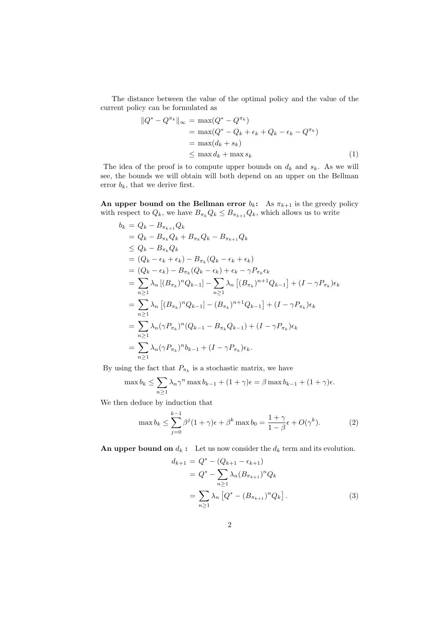The distance between the value of the optimal policy and the value of the current policy can be formulated as

$$
||Q^* - Q^{\pi_k}||_{\infty} = \max(Q^* - Q^{\pi_k})
$$
  
= 
$$
\max(Q^* - Q_k + \epsilon_k + Q_k - \epsilon_k - Q^{\pi_k})
$$
  
= 
$$
\max(d_k + s_k)
$$
  

$$
\leq \max d_k + \max s_k
$$
 (1)

The idea of the proof is to compute upper bounds on  $d_k$  and  $s_k$ . As we will see, the bounds we will obtain will both depend on an upper on the Bellman error  $b_k$ , that we derive first.

An upper bound on the Bellman error  $b_k$ : As  $\pi_{k+1}$  is the greedy policy with respect to  $Q_k$ , we have  $B_{\pi_k}Q_k \leq B_{\pi_{k+1}}Q_k$ , which allows us to write

$$
b_k = Q_k - B_{\pi_{k+1}} Q_k
$$
  
\n
$$
= Q_k - B_{\pi_k} Q_k + B_{\pi_k} Q_k - B_{\pi_{k+1}} Q_k
$$
  
\n
$$
\leq Q_k - B_{\pi_k} Q_k
$$
  
\n
$$
= (Q_k - \epsilon_k + \epsilon_k) - B_{\pi_k} (Q_k - \epsilon_k + \epsilon_k)
$$
  
\n
$$
= (Q_k - \epsilon_k) - B_{\pi_k} (Q_k - \epsilon_k) + \epsilon_k - \gamma P_{\pi_k} \epsilon_k
$$
  
\n
$$
= \sum_{n \geq 1} \lambda_n [(B_{\pi_k})^n Q_{k-1}] - \sum_{n \geq 1} \lambda_n [(B_{\pi_k})^{n+1} Q_{k-1}] + (I - \gamma P_{\pi_k}) \epsilon_k
$$
  
\n
$$
= \sum_{n \geq 1} \lambda_n [(B_{\pi_k})^n Q_{k-1}] - (B_{\pi_k})^{n+1} Q_{k-1}] + (I - \gamma P_{\pi_k}) \epsilon_k
$$
  
\n
$$
= \sum_{n \geq 1} \lambda_n (\gamma P_{\pi_k})^n (Q_{k-1} - B_{\pi_k} Q_{k-1}) + (I - \gamma P_{\pi_k}) \epsilon_k
$$
  
\n
$$
= \sum_{n \geq 1} \lambda_n (\gamma P_{\pi_k})^n b_{k-1} + (I - \gamma P_{\pi_k}) \epsilon_k.
$$

By using the fact that  $P_{\pi_k}$  is a stochastic matrix, we have

$$
\max b_k \le \sum_{n\ge 1} \lambda_n \gamma^n \max b_{k-1} + (1+\gamma)\epsilon = \beta \max b_{k-1} + (1+\gamma)\epsilon.
$$

We then deduce by induction that

$$
\max b_k \le \sum_{j=0}^{k-1} \beta^j (1+\gamma)\epsilon + \beta^k \max b_0 = \frac{1+\gamma}{1-\beta}\epsilon + O(\gamma^k). \tag{2}
$$

An upper bound on  $d_k$ : Let us now consider the  $d_k$  term and its evolution.

$$
d_{k+1} = Q^* - (Q_{k+1} - \epsilon_{k+1})
$$
  
=  $Q^* - \sum_{n\geq 1} \lambda_n (B_{\pi_{k+1}})^n Q_k$   
=  $\sum_{n\geq 1} \lambda_n [Q^* - (B_{\pi_{k+1}})^n Q_k].$  (3)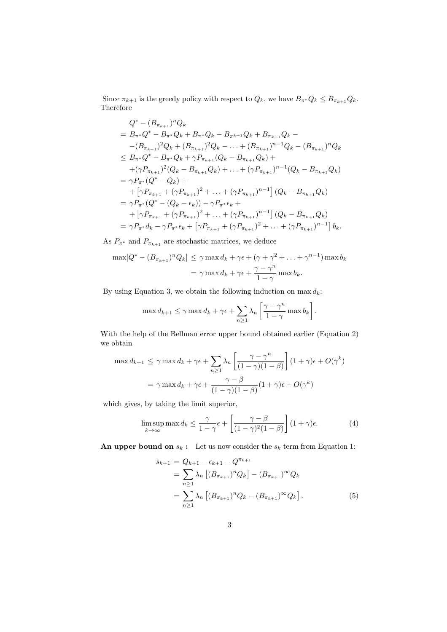Since  $\pi_{k+1}$  is the greedy policy with respect to  $Q_k$ , we have  $B_{\pi^*}Q_k \leq B_{\pi_{k+1}}Q_k$ . Therefore

$$
Q^* - (B_{\pi_{k+1}})^n Q_k
$$
  
=  $B_{\pi^*} Q^* - B_{\pi^*} Q_k + B_{\pi^*} Q_k - B_{\pi^{k+1}} Q_k + B_{\pi_{k+1}} Q_k -$   
 $-(B_{\pi_{k+1}})^2 Q_k + (B_{\pi_{k+1}})^2 Q_k - \dots + (B_{\pi_{k+1}})^{n-1} Q_k - (B_{\pi_{k+1}})^n Q_k$   
 $\leq B_{\pi^*} Q^* - B_{\pi^*} Q_k + \gamma P_{\pi_{k+1}} (Q_k - B_{\pi_{k+1}} Q_k) +$   
 $+(\gamma P_{\pi_{k+1}})^2 (Q_k - B_{\pi_{k+1}} Q_k) + \dots + (\gamma P_{\pi_{k+1}})^{n-1} (Q_k - B_{\pi_{k+1}} Q_k)$   
 $= \gamma P_{\pi^*} (Q^* - Q_k) +$   
 $+ [\gamma P_{\pi_{k+1}} + (\gamma P_{\pi_{k+1}})^2 + \dots + (\gamma P_{\pi_{k+1}})^{n-1}] (Q_k - B_{\pi_{k+1}} Q_k)$   
 $= \gamma P_{\pi^*} (Q^* - (Q_k - \epsilon_k)) - \gamma P_{\pi^*} \epsilon_k +$   
 $+ [\gamma P_{\pi_{k+1}} + (\gamma P_{\pi_{k+1}})^2 + \dots + (\gamma P_{\pi_{k+1}})^{n-1}] (Q_k - B_{\pi_{k+1}} Q_k)$   
 $= \gamma P_{\pi^*} d_k - \gamma P_{\pi^*} \epsilon_k + [\gamma P_{\pi_{k+1}} + (\gamma P_{\pi_{k+1}})^2 + \dots + (\gamma P_{\pi_{k+1}})^{n-1}] b_k.$ 

As  $P_{\pi^*}$  and  $P_{\pi_{k+1}}$  are stochastic matrices, we deduce

$$
\max[Q^* - (B_{\pi_{k+1}})^n Q_k] \le \gamma \max d_k + \gamma \epsilon + (\gamma + \gamma^2 + \dots + \gamma^{n-1}) \max b_k
$$
  
=  $\gamma \max d_k + \gamma \epsilon + \frac{\gamma - \gamma^n}{1 - \gamma} \max b_k$ .

By using Equation 3, we obtain the following induction on  $\max d_k$ :

$$
\max d_{k+1} \leq \gamma \max d_k + \gamma \epsilon + \sum_{n \geq 1} \lambda_n \left[ \frac{\gamma - \gamma^n}{1 - \gamma} \max b_k \right].
$$

With the help of the Bellman error upper bound obtained earlier (Equation 2) we obtain

$$
\max d_{k+1} \le \gamma \max d_k + \gamma \epsilon + \sum_{n \ge 1} \lambda_n \left[ \frac{\gamma - \gamma^n}{(1 - \gamma)(1 - \beta)} \right] (1 + \gamma) \epsilon + O(\gamma^k)
$$

$$
= \gamma \max d_k + \gamma \epsilon + \frac{\gamma - \beta}{(1 - \gamma)(1 - \beta)} (1 + \gamma) \epsilon + O(\gamma^k)
$$

which gives, by taking the limit superior,

$$
\limsup_{k \to \infty} \max d_k \le \frac{\gamma}{1 - \gamma} \epsilon + \left[ \frac{\gamma - \beta}{(1 - \gamma)^2 (1 - \beta)} \right] (1 + \gamma) \epsilon.
$$
 (4)

An upper bound on  $s_k$ : Let us now consider the  $s_k$  term from Equation 1:

$$
s_{k+1} = Q_{k+1} - \epsilon_{k+1} - Q^{\pi_{k+1}}
$$
  
= 
$$
\sum_{n\geq 1} \lambda_n \left[ (B_{\pi_{k+1}})^n Q_k \right] - (B_{\pi_{k+1}})^{\infty} Q_k
$$
  
= 
$$
\sum_{n\geq 1} \lambda_n \left[ (B_{\pi_{k+1}})^n Q_k - (B_{\pi_{k+1}})^{\infty} Q_k \right].
$$
 (5)